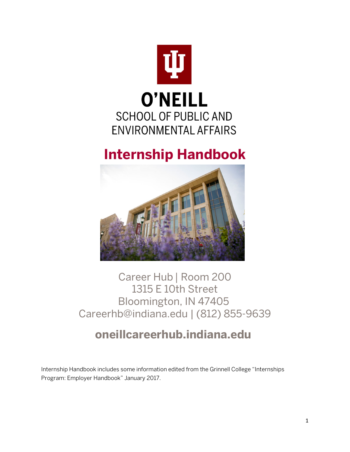

# **Internship Handbook**



# Career Hub | Room 200 1315 E 10th Street Bloomington, IN 47405 Careerhb@indiana.edu | (812) 855-9639

# **[oneillcareerhub.indiana.edu](https://speacareerhub.indiana.edu/)**

Internship Handbook includes some information edited from the Grinnell College "Internships Program: Employer Handbook" January 2017.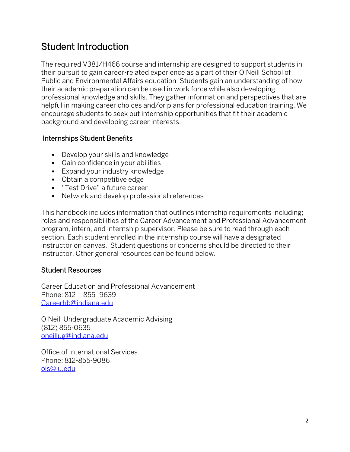# Student Introduction

The required V381/H466 course and internship are designed to support students in their pursuit to gain career-related experience as a part of their O'Neill School of Public and Environmental Affairs education. Students gain an understanding of how their academic preparation can be used in work force while also developing professional knowledge and skills. They gather information and perspectives that are helpful in making career choices and/or plans for professional education training. We encourage students to seek out internship opportunities that fit their academic background and developing career interests.

### Internships Student Benefits

- Develop your skills and knowledge
- Gain confidence in your abilities
- Expand your industry knowledge
- Obtain a competitive edge
- "Test Drive" a future career
- Network and develop professional references

This handbook includes information that outlines internship requirements including; roles and responsibilities of the Career Advancement and Professional Advancement program, intern, and internship supervisor. Please be sure to read through each section. Each student enrolled in the internship course will have a designated instructor on canvas. Student questions or concerns should be directed to their instructor. Other general resources can be found below.

### Student Resources

Career Education and Professional Advancement Phone: 812 – 855- 9639 [Careerhb@indiana.edu](mailto:Careerhb@indiana.edu)

O'Neill Undergraduate Academic Advising (812) 855-0635 [oneillug@indiana.edu](mailto:oneillug@indiana.edu)

Office of International Services Phone: 812-855-9086 [ois@iu.edu](mailto:ois@iu.edu)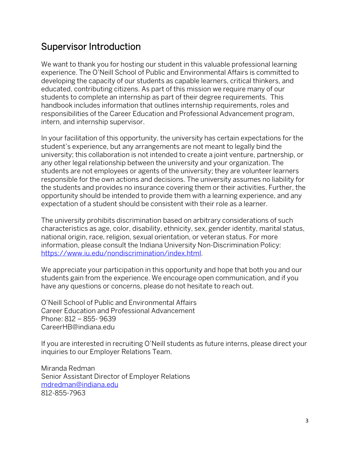### Supervisor Introduction

We want to thank you for hosting our student in this valuable professional learning experience. The O'Neill School of Public and Environmental Affairs is committed to developing the capacity of our students as capable learners, critical thinkers, and educated, contributing citizens. As part of this mission we require many of our students to complete an internship as part of their degree requirements. This handbook includes information that outlines internship requirements, roles and responsibilities of the Career Education and Professional Advancement program, intern, and internship supervisor.

In your facilitation of this opportunity, the university has certain expectations for the student's experience, but any arrangements are not meant to legally bind the university; this collaboration is not intended to create a joint venture, partnership, or any other legal relationship between the university and your organization. The students are not employees or agents of the university; they are volunteer learners responsible for the own actions and decisions. The university assumes no liability for the students and provides no insurance covering them or their activities. Further, the opportunity should be intended to provide them with a learning experience, and any expectation of a student should be consistent with their role as a learner.

The university prohibits discrimination based on arbitrary considerations of such characteristics as age, color, disability, ethnicity, sex, gender identity, marital status, national origin, race, religion, sexual orientation, or veteran status. For more information, please consult the Indiana University Non-Discrimination Policy: [https://www.iu.edu/nondiscrimination/index.html.](https://www.iu.edu/nondiscrimination/index.html)

We appreciate your participation in this opportunity and hope that both you and our students gain from the experience. We encourage open communication, and if you have any questions or concerns, please do not hesitate to reach out.

O'Neill School of Public and Environmental Affairs Career Education and Professional Advancement Phone: 812 – 855- 9639 [CareerHB@indiana.edu](mailto:CareerHB@indiana.edu)

If you are interested in recruiting O'Neill students as future interns, please direct your inquiries to our Employer Relations Team.

Miranda Redman Senior Assistant Director of Employer Relations [mdredman@indiana.edu](mailto:mdredman@indiana.edu) 812-855-7963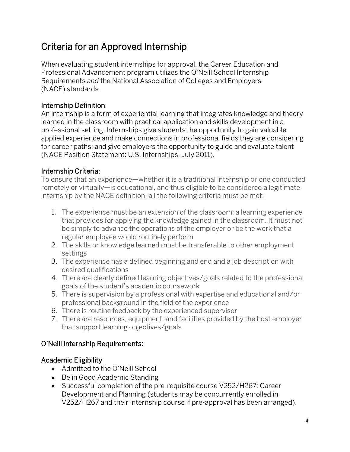# Criteria for an Approved Internship

When evaluating student internships for approval, the Career Education and Professional Advancement program utilizes the O'Neill School Internship Requirements *and* the National Association of Colleges and Employers (NACE) standards.

### Internship Definition:

An internship is a form of experiential learning that integrates knowledge and theory learned in the classroom with practical application and skills development in a professional setting. Internships give students the opportunity to gain valuable applied experience and make connections in professional fields they are considering for career paths; and give employers the opportunity to guide and evaluate talent (NACE Position Statement: U.S. Internships, July 2011).

### Internship Criteria:

To ensure that an experience—whether it is a traditional internship or one conducted remotely or virtually—is educational, and thus eligible to be considered a legitimate internship by the NACE definition, all the following criteria must be met:

- 1. The experience must be an extension of the classroom: a learning experience that provides for applying the knowledge gained in the classroom. It must not be simply to advance the operations of the employer or be the work that a regular employee would routinely perform
- 2. The skills or knowledge learned must be transferable to other employment settings
- 3. The experience has a defined beginning and end and a job description with desired qualifications
- 4. There are clearly defined learning objectives/goals related to the professional goals of the student's academic coursework
- 5. There is supervision by a professional with expertise and educational and/or professional background in the field of the experience
- 6. There is routine feedback by the experienced supervisor
- 7. There are resources, equipment, and facilities provided by the host employer that support learning objectives/goals

### O'Neill Internship Requirements:

### Academic Eligibility

- Admitted to the O'Neill School
- Be in Good Academic Standing
- Successful completion of the pre-requisite course V252/H267: Career Development and Planning (students may be concurrently enrolled in V252/H267 and their internship course if pre-approval has been arranged).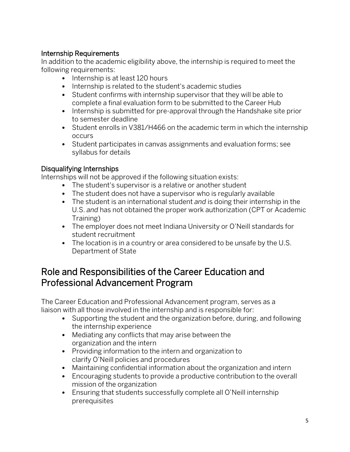### Internship Requirements

In addition to the academic eligibility above, the internship is required to meet the following requirements:

- Internship is at least 120 hours
- Internship is related to the student's academic studies
- Student confirms with internship supervisor that they will be able to complete a final evaluation form to be submitted to the Career Hub
- Internship is submitted for pre-approval through the Handshake site prior to semester deadline
- Student enrolls in V381/H466 on the academic term in which the internship occurs
- Student participates in canvas assignments and evaluation forms; see syllabus for details

### Disqualifying Internships

Internships will not be approved if the following situation exists:

- The student's supervisor is a relative or another student
- The student does not have a supervisor who is regularly available
- The student is an international student *and* is doing their internship in the U.S. *and* has not obtained the proper work authorization (CPT or Academic Training)
- The employer does not meet Indiana University or O'Neill standards for student recruitment
- The location is in a country or area considered to be unsafe by the U.S. Department of State

### Role and Responsibilities of the Career Education and Professional Advancement Program

The Career Education and Professional Advancement program, serves as a liaison with all those involved in the internship and is responsible for:

- Supporting the student and the organization before, during, and following the internship experience
- Mediating any conflicts that may arise between the organization and the intern
- Providing information to the intern and organization to clarify O'Neill policies and procedures
- Maintaining confidential information about the organization and intern
- Encouraging students to provide a productive contribution to the overall mission of the organization
- Ensuring that students successfully complete all O'Neill internship prerequisites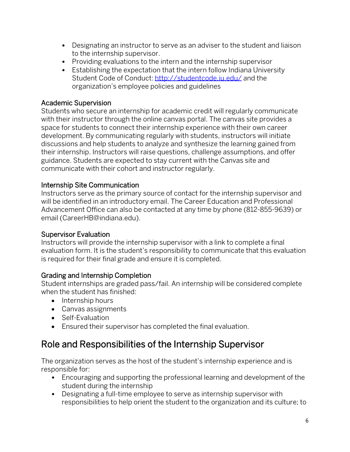- Designating an instructor to serve as an adviser to the student and liaison to the internship supervisor.
- Providing evaluations to the intern and the internship supervisor
- Establishing the expectation that the intern follow Indiana University Student Code of Conduct: <http://studentcode.iu.edu/> and the organization's employee policies and guidelines

### Academic Supervision

Students who secure an internship for academic credit will regularly communicate with their instructor through the online canvas portal. The canvas site provides a space for students to connect their internship experience with their own career development. By communicating regularly with students, instructors will initiate discussions and help students to analyze and synthesize the learning gained from their internship. Instructors will raise questions, challenge assumptions, and offer guidance. Students are expected to stay current with the Canvas site and communicate with their cohort and instructor regularly.

### Internship Site Communication

Instructors serve as the primary source of contact for the internship supervisor and will be identified in an introductory email. The Career Education and Professional Advancement Office can also be contacted at any time by phone (812-855-9639) or email (CareerHB@indiana.edu).

### Supervisor Evaluation

Instructors will provide the internship supervisor with a link to complete a final evaluation form. It is the student's responsibility to communicate that this evaluation is required for their final grade and ensure it is completed.

### Grading and Internship Completion

Student internships are graded pass/fail. An internship will be considered complete when the student has finished:

- Internship hours
- Canvas assignments
- Self-Evaluation
- Ensured their supervisor has completed the final evaluation.

# Role and Responsibilities of the Internship Supervisor

The organization serves as the host of the student's internship experience and is responsible for:

- Encouraging and supporting the professional learning and development of the student during the internship
- Designating a full-time employee to serve as internship supervisor with responsibilities to help orient the student to the organization and its culture; to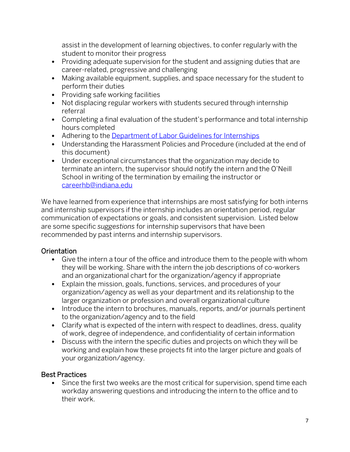assist in the development of learning objectives, to confer regularly with the student to monitor their progress

- Providing adequate supervision for the student and assigning duties that are career-related, progressive and challenging
- Making available equipment, supplies, and space necessary for the student to perform their duties
- Providing safe working facilities
- Not displacing regular workers with students secured through internship referral
- Completing a final evaluation of the student's performance and total internship hours completed
- Adhering to the Department [of Labor Guidelines](https://www.dol.gov/agencies/whd/fact-sheets/71-flsa-internships) for Internships
- Understanding the Harassment Policies and Procedure (included at the end of this document)
- Under exceptional circumstances that the organization may decide to terminate an intern, the supervisor should notify the intern and the O'Neill School in writing of the termination by emailing the instructor or [careerhb@indiana.edu](mailto:careerhb@indiana.edu)

We have learned from experience that internships are most satisfying for both interns and internship supervisors if the internship includes an orientation period, regular communication of expectations or goals, and consistent supervision. Listed below are some specific *suggestions* for internship supervisors that have been recommended by past interns and internship supervisors.

### **Orientation**

- Give the intern a tour of the office and introduce them to the people with whom they will be working. Share with the intern the job descriptions of co-workers and an organizational chart for the organization/agency if appropriate
- Explain the mission, goals, functions, services, and procedures of your organization/agency as well as your department and its relationship to the larger organization or profession and overall organizational culture
- Introduce the intern to brochures, manuals, reports, and/or journals pertinent to the organization/agency and to the field
- Clarify what is expected of the intern with respect to deadlines, dress, quality of work, degree of independence, and confidentiality of certain information
- Discuss with the intern the specific duties and projects on which they will be working and explain how these projects fit into the larger picture and goals of your organization/agency.

### Best Practices

• Since the first two weeks are the most critical for supervision, spend time each workday answering questions and introducing the intern to the office and to their work.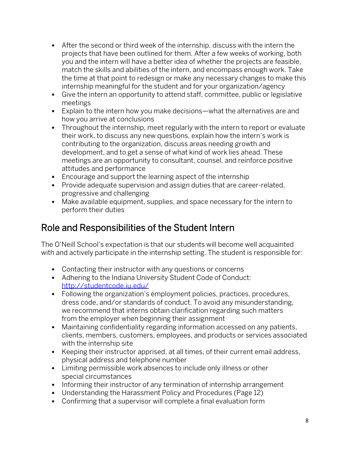- After the second or third week of the internship, discuss with the intern the projects that have been outlined for them. After a few weeks of working, both you and the intern will have a better idea of whether the projects are feasible, match the skills and abilities of the intern, and encompass enough work. Take the time at that point to redesign or make any necessary changes to make this internship meaningful for the student and for your organization/agency
- Give the intern an opportunity to attend staff, committee, public or legislative meetings
- Explain to the intern how you make decisions—what the alternatives are and how you arrive at conclusions
- Throughout the internship, meet regularly with the intern to report or evaluate their work, to discuss any new questions, explain how the intern's work is contributing to the organization, discuss areas needing growth and development, and to get a sense of what kind of work lies ahead. These meetings are an opportunity to consultant, counsel, and reinforce positive attitudes and performance
- Encourage and support the learning aspect of the internship
- Provide adequate supervision and assign duties that are career-related, progressive and challenging
- Make available equipment, supplies, and space necessary for the intern to perform their duties

# Role and Responsibilities of the Student Intern

The O'Neill School's expectation is that our students will become well acquainted with and actively participate in the internship setting. The student is responsible for:

- Contacting their instructor with any questions or concerns
- Adhering to the Indiana University Student Code of Conduct: <http://studentcode.iu.edu/>
- Following the organization's employment policies, practices, procedures, dress code, and/or standards of conduct. To avoid any misunderstanding, we recommend that interns obtain clarification regarding such matters from the employer when beginning their assignment
- Maintaining confidentiality regarding information accessed on any patients, clients, members, customers, employees, and products or services associated with the internship site
- Keeping their instructor apprised, at all times, of their current email address, physical address and telephone number
- Limiting permissible work absences to include only illness or other special circumstances
- Informing their instructor of any termination of internship arrangement
- Understanding the Harassment Policy and Procedures (Page 12)
- Confirming that a supervisor will complete a final evaluation form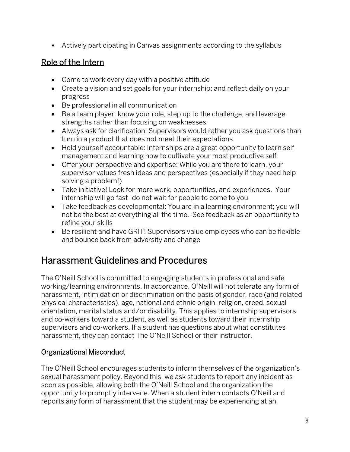• Actively participating in Canvas assignments according to the syllabus

### Role of the Intern

- Come to work every day with a positive attitude
- Create a vision and set goals for your internship; and reflect daily on your progress
- Be professional in all communication
- Be a team player: know your role, step up to the challenge, and leverage strengths rather than focusing on weaknesses
- Always ask for clarification: Supervisors would rather you ask questions than turn in a product that does not meet their expectations
- Hold yourself accountable: Internships are a great opportunity to learn selfmanagement and learning how to cultivate your most productive self
- Offer your perspective and expertise: While you are there to learn, your supervisor values fresh ideas and perspectives (especially if they need help solving a problem!)
- Take initiative! Look for more work, opportunities, and experiences. Your internship will go fast- do not wait for people to come to you
- Take feedback as developmental: You are in a learning environment; you will not be the best at everything all the time. See feedback as an opportunity to refine your skills
- Be resilient and have GRIT! Supervisors value employees who can be flexible and bounce back from adversity and change

## Harassment Guidelines and Procedures

The O'Neill School is committed to engaging students in professional and safe working/learning environments. In accordance, O'Neill will not tolerate any form of harassment, intimidation or discrimination on the basis of gender, race (and related physical characteristics), age, national and ethnic origin, religion, creed, sexual orientation, marital status and/or disability. This applies to internship supervisors and co-workers toward a student, as well as students toward their internship supervisors and co-workers. If a student has questions about what constitutes harassment, they can contact The O'Neill School or their instructor.

### Organizational Misconduct

The O'Neill School encourages students to inform themselves of the organization's sexual harassment policy. Beyond this, we ask students to report any incident as soon as possible, allowing both the O'Neill School and the organization the opportunity to promptly intervene. When a student intern contacts O'Neill and reports any form of harassment that the student may be experiencing at an